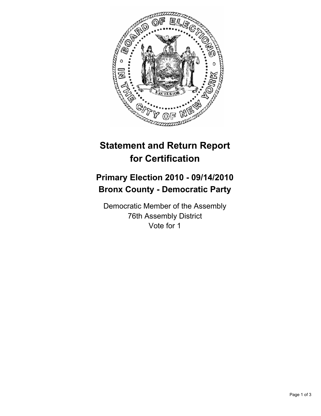

## **Statement and Return Report for Certification**

## **Primary Election 2010 - 09/14/2010 Bronx County - Democratic Party**

Democratic Member of the Assembly 76th Assembly District Vote for 1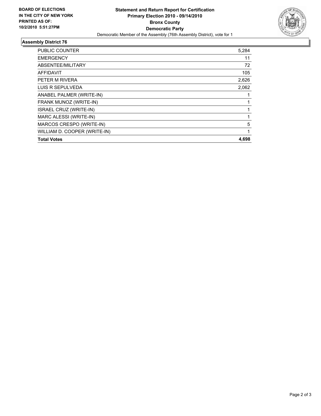

## **Assembly District 76**

| <b>PUBLIC COUNTER</b>        | 5,284 |
|------------------------------|-------|
| <b>EMERGENCY</b>             | 11    |
| ABSENTEE/MILITARY            | 72    |
| <b>AFFIDAVIT</b>             | 105   |
| PETER M RIVERA               | 2,626 |
| LUIS R SEPULVEDA             | 2,062 |
| ANABEL PALMER (WRITE-IN)     |       |
| FRANK MUNOZ (WRITE-IN)       |       |
| ISRAEL CRUZ (WRITE-IN)       | 1     |
| MARC ALESSI (WRITE-IN)       |       |
| MARCOS CRESPO (WRITE-IN)     | 5     |
| WILLIAM D. COOPER (WRITE-IN) | 1     |
| <b>Total Votes</b>           | 4.698 |